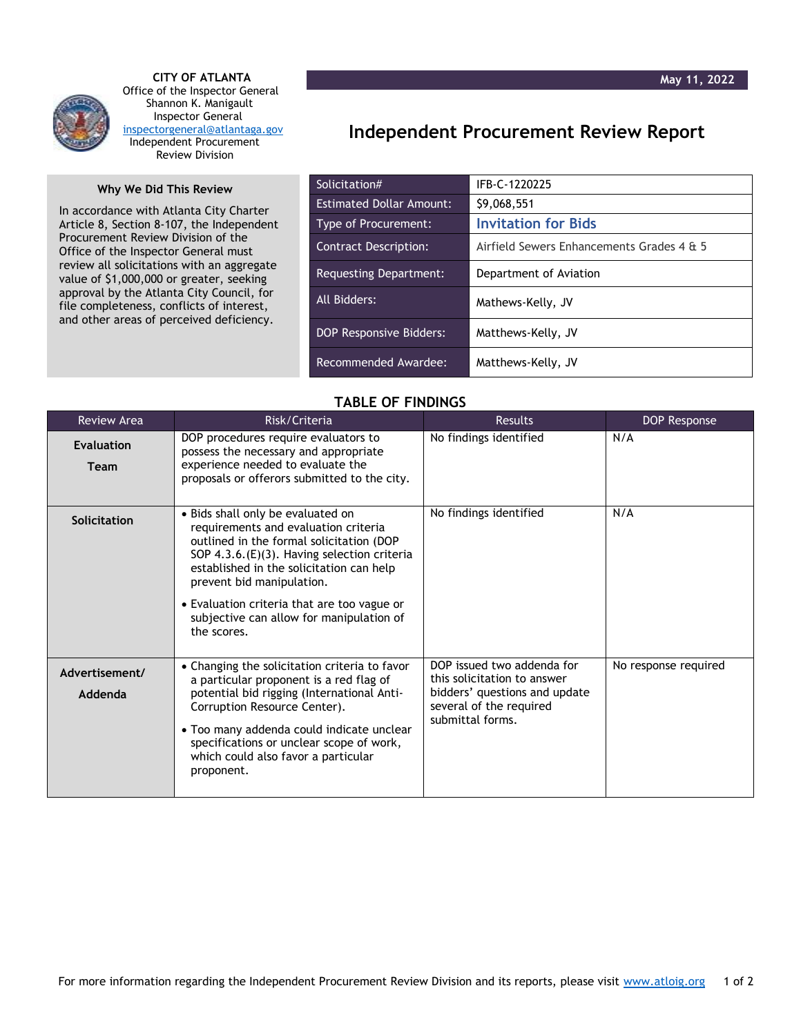

 **CITY OF ATLANTA** Office of the Inspector General Shannon K. Manigault Inspector General [inspectorgeneral@atlantaga.gov](mailto:inspectorgeneral@atlantaga.gov) Independent Procurement Review Division

## **Why We Did This Review**

In accordance with Atlanta City Charter Article 8, Section 8-107, the Independent Procurement Review Division of the Office of the Inspector General must review all solicitations with an aggregate value of \$1,000,000 or greater, seeking approval by the Atlanta City Council, for file completeness, conflicts of interest, and other areas of perceived deficiency.

## **Independent Procurement Review Report**

| Solicitation#                   | IFB-C-1220225                             |
|---------------------------------|-------------------------------------------|
| <b>Estimated Dollar Amount:</b> | \$9,068,551                               |
| Type of Procurement:            | <b>Invitation for Bids</b>                |
| <b>Contract Description:</b>    | Airfield Sewers Enhancements Grades 4 & 5 |
| Requesting Department:          | Department of Aviation                    |
| All Bidders:                    | Mathews-Kelly, JV                         |
| <b>DOP Responsive Bidders:</b>  | Matthews-Kelly, JV                        |
| Recommended Awardee:            | Matthews-Kelly, JV                        |

## **TABLE OF FINDINGS**

| <b>Review Area</b>        | Risk/Criteria                                                                                                                                                                                                                                                                                                                                           | <b>Results</b>                                                                                                                            | DOP Response         |
|---------------------------|---------------------------------------------------------------------------------------------------------------------------------------------------------------------------------------------------------------------------------------------------------------------------------------------------------------------------------------------------------|-------------------------------------------------------------------------------------------------------------------------------------------|----------------------|
| <b>Evaluation</b><br>Team | DOP procedures require evaluators to<br>possess the necessary and appropriate<br>experience needed to evaluate the<br>proposals or offerors submitted to the city.                                                                                                                                                                                      | No findings identified                                                                                                                    | N/A                  |
| Solicitation              | • Bids shall only be evaluated on<br>requirements and evaluation criteria<br>outlined in the formal solicitation (DOP<br>SOP 4.3.6.(E)(3). Having selection criteria<br>established in the solicitation can help<br>prevent bid manipulation.<br>• Evaluation criteria that are too vague or<br>subjective can allow for manipulation of<br>the scores. | No findings identified                                                                                                                    | N/A                  |
| Advertisement/<br>Addenda | • Changing the solicitation criteria to favor<br>a particular proponent is a red flag of<br>potential bid rigging (International Anti-<br>Corruption Resource Center).<br>• Too many addenda could indicate unclear<br>specifications or unclear scope of work,<br>which could also favor a particular<br>proponent.                                    | DOP issued two addenda for<br>this solicitation to answer<br>bidders' questions and update<br>several of the required<br>submittal forms. | No response required |